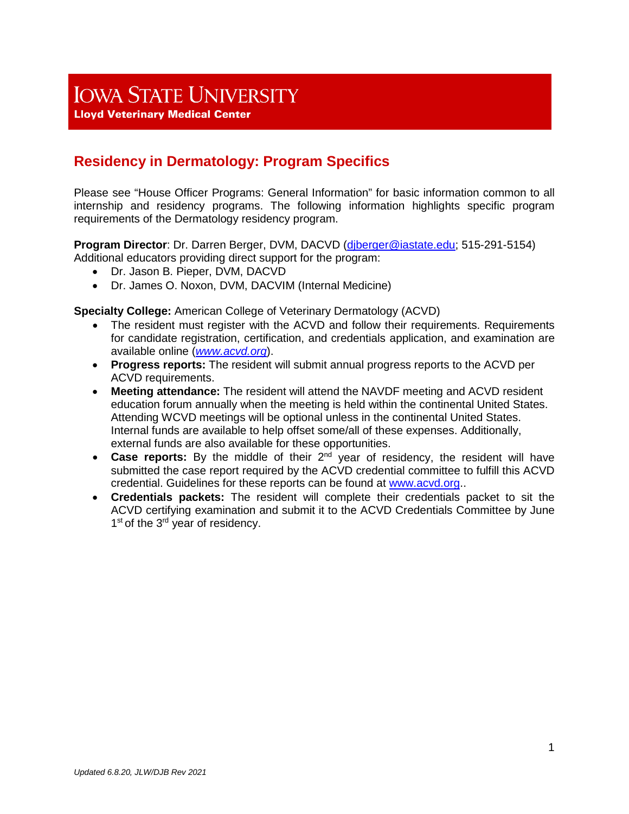# **IOWA STATE UNIVERSITY**

**Lloyd Veterinary Medical Center** 

# **Residency in Dermatology: Program Specifics**

Please see "House Officer Programs: General Information" for basic information common to all internship and residency programs. The following information highlights specific program requirements of the Dermatology residency program.

**Program Director**: Dr. Darren Berger, DVM, DACVD (djberger@iastate.edu; 515-291-5154) Additional educators providing direct support for the program:

- Dr. Jason B. Pieper, DVM, DACVD
- Dr. James O. Noxon, DVM, DACVIM (Internal Medicine)

**Specialty College:** American College of Veterinary Dermatology (ACVD)

- The resident must register with the ACVD and follow their requirements. Requirements for candidate registration, certification, and credentials application, and examination are available online (*[www.acvd.org](http://www.acvd.org/)*).
- **Progress reports:** The resident will submit annual progress reports to the ACVD per ACVD requirements.
- **Meeting attendance:** The resident will attend the NAVDF meeting and ACVD resident education forum annually when the meeting is held within the continental United States. Attending WCVD meetings will be optional unless in the continental United States. Internal funds are available to help offset some/all of these expenses. Additionally, external funds are also available for these opportunities.
- **Case reports:** By the middle of their 2<sup>nd</sup> year of residency, the resident will have submitted the case report required by the ACVD credential committee to fulfill this ACVD credential. Guidelines for these reports can be found at [www.acvd.org.](http://www.acvd.org/).
- **Credentials packets:** The resident will complete their credentials packet to sit the ACVD certifying examination and submit it to the ACVD Credentials Committee by June 1<sup>st</sup> of the 3<sup>rd</sup> year of residency.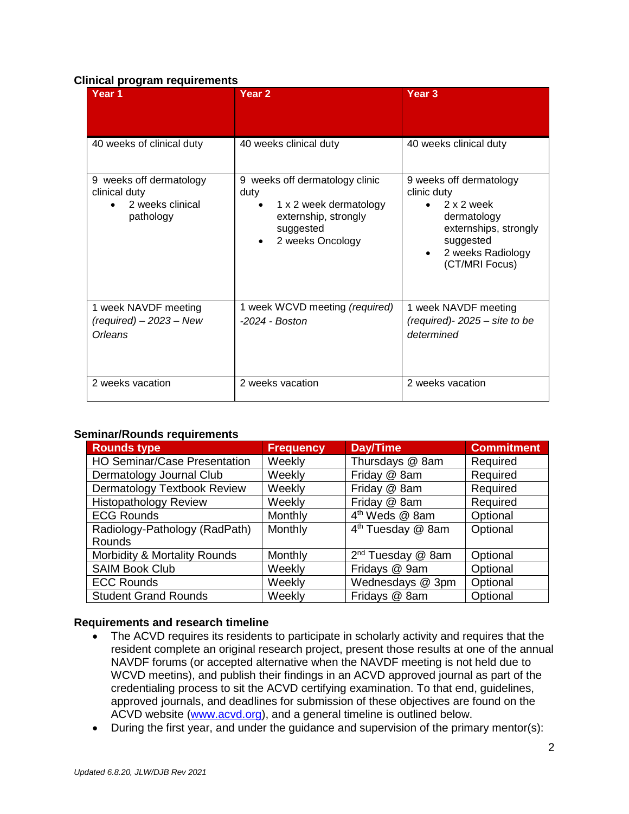#### **Clinical program requirements**

| Year <sub>1</sub>                                                         | Year <sub>2</sub>                                                                                                              | Year <sub>3</sub>                                                                                                                                |  |
|---------------------------------------------------------------------------|--------------------------------------------------------------------------------------------------------------------------------|--------------------------------------------------------------------------------------------------------------------------------------------------|--|
| 40 weeks of clinical duty                                                 | 40 weeks clinical duty                                                                                                         | 40 weeks clinical duty                                                                                                                           |  |
| 9 weeks off dermatology<br>clinical duty<br>2 weeks clinical<br>pathology | 9 weeks off dermatology clinic<br>duty<br>1 x 2 week dermatology<br>٠<br>externship, strongly<br>suggested<br>2 weeks Oncology | 9 weeks off dermatology<br>clinic duty<br>2 x 2 week<br>dermatology<br>externships, strongly<br>suggested<br>2 weeks Radiology<br>(CT/MRI Focus) |  |
| 1 week NAVDF meeting<br>$(required) - 2023 - New$<br>Orleans              | 1 week WCVD meeting (required)<br>$-2024 - Boston$                                                                             | 1 week NAVDF meeting<br>(required)- $2025 -$ site to be<br>determined                                                                            |  |
| 2 weeks vacation                                                          | 2 weeks vacation                                                                                                               | 2 weeks vacation                                                                                                                                 |  |

#### **Seminar/Rounds requirements**

| <b>Rounds type</b>                  | <b>Frequency</b> | Day/Time                      | <b>Commitment</b> |
|-------------------------------------|------------------|-------------------------------|-------------------|
| <b>HO Seminar/Case Presentation</b> | Weekly           | Thursdays @ 8am               | Required          |
| Dermatology Journal Club            | Weekly           | Friday @ 8am                  | Required          |
| Dermatology Textbook Review         | Weekly           | Friday @ 8am                  | Required          |
| <b>Histopathology Review</b>        | Weekly           | Friday @ 8am                  | Required          |
| <b>ECG Rounds</b>                   | Monthly          | 4 <sup>th</sup> Weds @ 8am    | Optional          |
| Radiology-Pathology (RadPath)       | Monthly          | 4 <sup>th</sup> Tuesday @ 8am | Optional          |
| Rounds                              |                  |                               |                   |
| Morbidity & Mortality Rounds        | Monthly          | $2^{nd}$ Tuesday @ 8am        | Optional          |
| <b>SAIM Book Club</b>               | Weekly           | Fridays @ 9am                 | Optional          |
| <b>ECC Rounds</b>                   | Weekly           | Wednesdays @ 3pm              | Optional          |
| <b>Student Grand Rounds</b>         | Weekly           | Fridays @ 8am                 | Optional          |

## **Requirements and research timeline**

- The ACVD requires its residents to participate in scholarly activity and requires that the resident complete an original research project, present those results at one of the annual NAVDF forums (or accepted alternative when the NAVDF meeting is not held due to WCVD meetins), and publish their findings in an ACVD approved journal as part of the credentialing process to sit the ACVD certifying examination. To that end, guidelines, approved journals, and deadlines for submission of these objectives are found on the ACVD website [\(www.acvd.org\)](http://www.acvd.org/), and a general timeline is outlined below.
- During the first year, and under the guidance and supervision of the primary mentor(s):